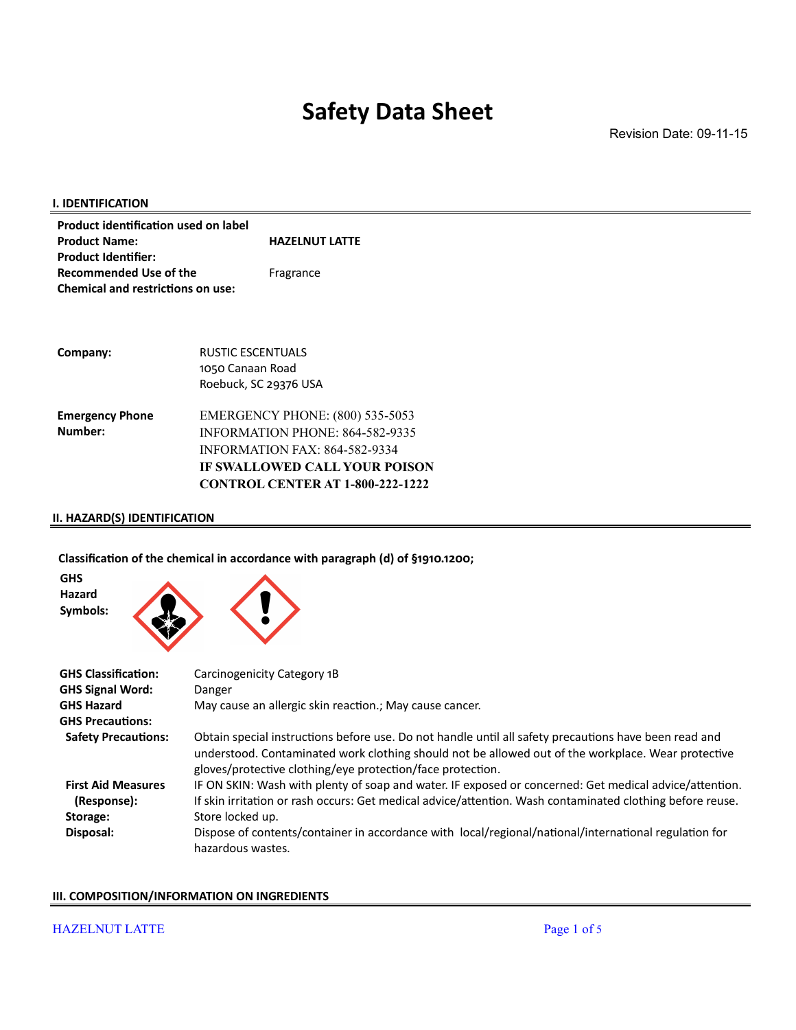Revision Date: 09-11-15

| Product identification used on label<br><b>Product Name:</b><br><b>Product Identifier:</b> | <b>HAZELNUT LATTE</b>                   |
|--------------------------------------------------------------------------------------------|-----------------------------------------|
| <b>Recommended Use of the</b><br>Chemical and restrictions on use:                         | Fragrance                               |
|                                                                                            |                                         |
| Company:                                                                                   | <b>RUSTIC ESCENTUALS</b>                |
|                                                                                            | 1050 Canaan Road                        |
|                                                                                            | Roebuck, SC 29376 USA                   |
| <b>Emergency Phone</b>                                                                     | <b>EMERGENCY PHONE: (800) 535-5053</b>  |
| Number:                                                                                    | <b>INFORMATION PHONE: 864-582-9335</b>  |
|                                                                                            | <b>INFORMATION FAX: 864-582-9334</b>    |
|                                                                                            | IF SWALLOWED CALL YOUR POISON           |
|                                                                                            | <b>CONTROL CENTER AT 1-800-222-1222</b> |
|                                                                                            |                                         |

### **II. HAZARD(S) IDENTIFICATION**

**GHS** 

**Classification of the chemical in accordance with paragraph (d) of §1910.1200;**

| Hazard<br>Symbols:         |                                                                                                                                                                                                                                                                           |
|----------------------------|---------------------------------------------------------------------------------------------------------------------------------------------------------------------------------------------------------------------------------------------------------------------------|
| <b>GHS Classification:</b> | Carcinogenicity Category 1B                                                                                                                                                                                                                                               |
| <b>GHS Signal Word:</b>    | Danger                                                                                                                                                                                                                                                                    |
| <b>GHS Hazard</b>          | May cause an allergic skin reaction.; May cause cancer.                                                                                                                                                                                                                   |
| <b>GHS Precautions:</b>    |                                                                                                                                                                                                                                                                           |
| <b>Safety Precautions:</b> | Obtain special instructions before use. Do not handle until all safety precautions have been read and<br>understood. Contaminated work clothing should not be allowed out of the workplace. Wear protective<br>gloves/protective clothing/eye protection/face protection. |
| <b>First Aid Measures</b>  | IF ON SKIN: Wash with plenty of soap and water. IF exposed or concerned: Get medical advice/attention.                                                                                                                                                                    |
| (Response):                | If skin irritation or rash occurs: Get medical advice/attention. Wash contaminated clothing before reuse.                                                                                                                                                                 |
| Storage:                   | Store locked up.                                                                                                                                                                                                                                                          |
| Disposal:                  | Dispose of contents/container in accordance with local/regional/national/international regulation for<br>hazardous wastes.                                                                                                                                                |

#### **III. COMPOSITION/INFORMATION ON INGREDIENTS**

#### HAZELNUT LATTE Page 1 of 5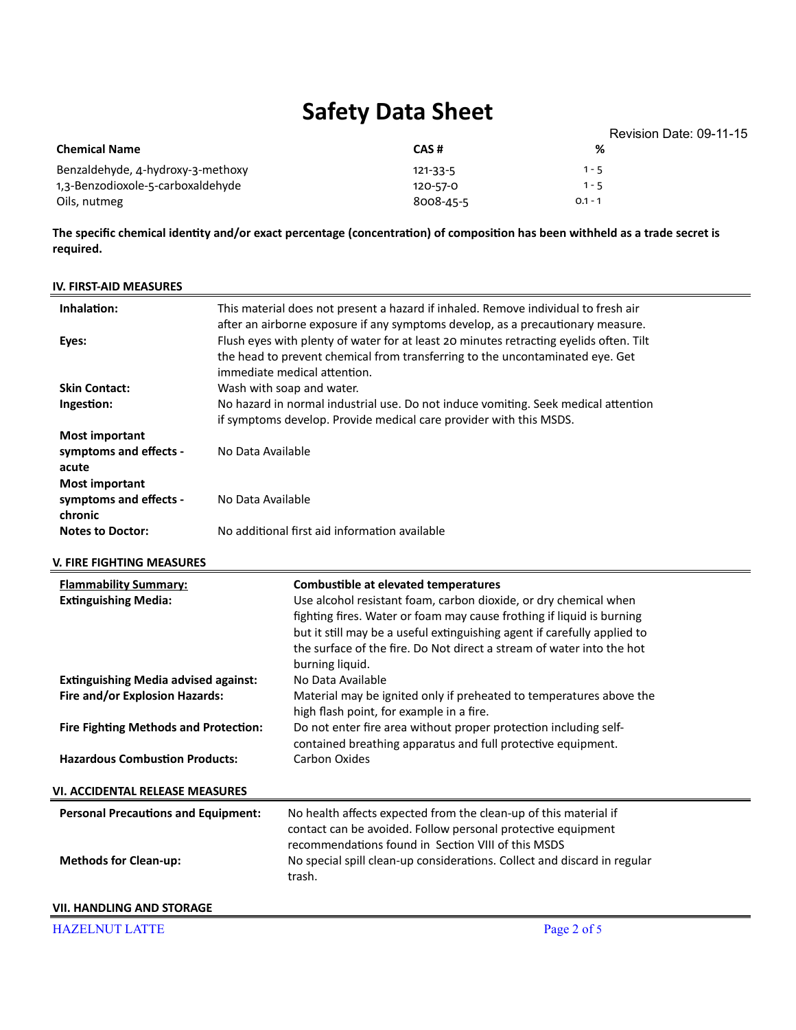Revision Date: 09-11-15 **Chemical Name CAS # %** Benzaldehyde, 4-hydroxy-3-methoxy 121-33-5 1-5 1,3-Benzodioxole-5-carboxaldehyde 1 - 5 120-57-0 1 - 5 Oils, nutmeg 0.1 - 1 0.1 - 1 0.1 - 1 0.1 - 1 0.1 - 1 0.1 - 1 0.1 - 1 0.1 - 1 0.1 - 1 0.1 - 1 0.1 - 1 0.1 - 1 0

**The specific chemical identity and/or exact percentage (concentration) of composition has been withheld as a trade secret is required.**

#### **IV. FIRST-AID MEASURES Inhalation:** This material does not present a hazard if inhaled. Remove individual to fresh air after an airborne exposure if any symptoms develop, as a precautionary measure. **Eyes:** Flush eyes with plenty of water for at least 20 minutes retracting eyelids often. Tilt the head to prevent chemical from transferring to the uncontaminated eye. Get immediate medical attention. **Skin Contact:** Wash with soap and water. **Ingestion:** No hazard in normal industrial use. Do not induce vomiting. Seek medical attention if symptoms develop. Provide medical care provider with this MSDS. **Most important symptoms and effects acute** No Data Available **Most important symptoms and effects chronic** No Data Available **Notes to Doctor:** No additional first aid information available **V. FIRE FIGHTING MEASURES**

| <b>Flammability Summary:</b>                 | Combustible at elevated temperatures                                                                                                      |
|----------------------------------------------|-------------------------------------------------------------------------------------------------------------------------------------------|
| <b>Extinguishing Media:</b>                  | Use alcohol resistant foam, carbon dioxide, or dry chemical when<br>fighting fires. Water or foam may cause frothing if liquid is burning |
|                                              | but it still may be a useful extinguishing agent if carefully applied to                                                                  |
|                                              | the surface of the fire. Do Not direct a stream of water into the hot                                                                     |
|                                              | burning liquid.                                                                                                                           |
| <b>Extinguishing Media advised against:</b>  | No Data Available                                                                                                                         |
| Fire and/or Explosion Hazards:               | Material may be ignited only if preheated to temperatures above the                                                                       |
|                                              | high flash point, for example in a fire.                                                                                                  |
| <b>Fire Fighting Methods and Protection:</b> | Do not enter fire area without proper protection including self-                                                                          |
|                                              | contained breathing apparatus and full protective equipment.                                                                              |
| <b>Hazardous Combustion Products:</b>        | Carbon Oxides                                                                                                                             |
| <b>VI. ACCIDENTAL RELEASE MEASURES</b>       |                                                                                                                                           |
| <b>Personal Precautions and Equipment:</b>   | No health affects expected from the clean-up of this material if                                                                          |
|                                              | contact can be avoided. Follow personal protective equipment                                                                              |
|                                              | recommendations found in Section VIII of this MSDS                                                                                        |
| <b>Methods for Clean-up:</b>                 | No special spill clean-up considerations. Collect and discard in regular                                                                  |
|                                              | trash.                                                                                                                                    |
| <b>VII. HANDLING AND STORAGE</b>             |                                                                                                                                           |
| <b>HAZELNUT LATTE</b>                        | Page 2 of 5                                                                                                                               |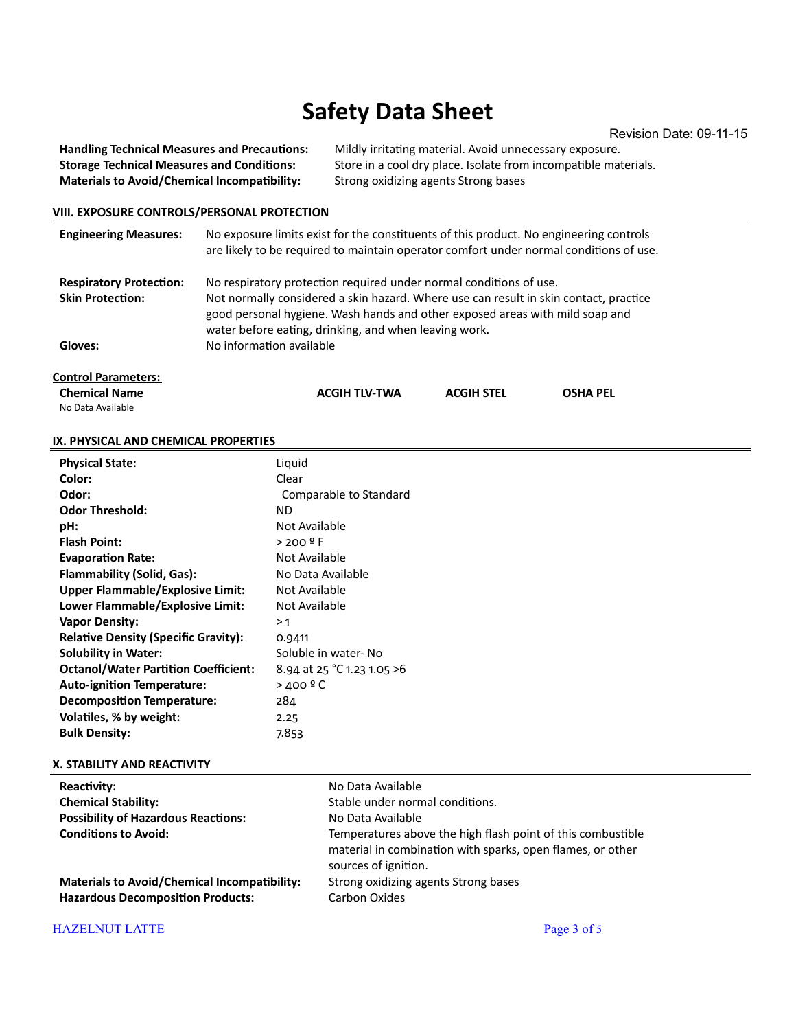Revision Date: 09-11-15

**Materials to Avoid/Chemical Incompatibility:** Strong oxidizing agents Strong bases

Handling Technical Measures and Precautions: Mildly irritating material. Avoid unnecessary exposure. **Storage Technical Measures and Conditions:** Store in a cool dry place. Isolate from incompatible materials.

#### **VIII. EXPOSURE CONTROLS/PERSONAL PROTECTION**

| <b>Engineering Measures:</b>              | No exposure limits exist for the constituents of this product. No engineering controls<br>are likely to be required to maintain operator comfort under normal conditions of use.                                               |                   |                 |  |  |  |
|-------------------------------------------|--------------------------------------------------------------------------------------------------------------------------------------------------------------------------------------------------------------------------------|-------------------|-----------------|--|--|--|
| <b>Respiratory Protection:</b>            | No respiratory protection required under normal conditions of use.                                                                                                                                                             |                   |                 |  |  |  |
| <b>Skin Protection:</b>                   | Not normally considered a skin hazard. Where use can result in skin contact, practice<br>good personal hygiene. Wash hands and other exposed areas with mild soap and<br>water before eating, drinking, and when leaving work. |                   |                 |  |  |  |
| Gloves:                                   | No information available                                                                                                                                                                                                       |                   |                 |  |  |  |
| <b>Control Parameters:</b>                |                                                                                                                                                                                                                                |                   |                 |  |  |  |
| <b>Chemical Name</b><br>No Data Available | <b>ACGIH TLV-TWA</b>                                                                                                                                                                                                           | <b>ACGIH STEL</b> | <b>OSHA PEL</b> |  |  |  |

#### **IX. PHYSICAL AND CHEMICAL PROPERTIES**

| <b>Physical State:</b>                      | Liquid                     |
|---------------------------------------------|----------------------------|
| Color:                                      | Clear                      |
| Odor:                                       | Comparable to Standard     |
| <b>Odor Threshold:</b>                      | ND.                        |
| pH:                                         | Not Available              |
| <b>Flash Point:</b>                         | > 200 °F                   |
| <b>Evaporation Rate:</b>                    | Not Available              |
| <b>Flammability (Solid, Gas):</b>           | No Data Available          |
| <b>Upper Flammable/Explosive Limit:</b>     | Not Available              |
| Lower Flammable/Explosive Limit:            | Not Available              |
| <b>Vapor Density:</b>                       | >1                         |
| <b>Relative Density (Specific Gravity):</b> | 0.9411                     |
| <b>Solubility in Water:</b>                 | Soluble in water- No       |
| <b>Octanol/Water Partition Coefficient:</b> | 8.94 at 25 °C 1.23 1.05 >6 |
| <b>Auto-ignition Temperature:</b>           | $>400^{\circ}$ C           |
| <b>Decomposition Temperature:</b>           | 284                        |
| Volatiles, % by weight:                     | 2.25                       |
| <b>Bulk Density:</b>                        | 7.853                      |

#### **X. STABILITY AND REACTIVITY**

| Reactivity:                                         | No Data Available                                                                                                                                 |
|-----------------------------------------------------|---------------------------------------------------------------------------------------------------------------------------------------------------|
| <b>Chemical Stability:</b>                          | Stable under normal conditions.                                                                                                                   |
| <b>Possibility of Hazardous Reactions:</b>          | No Data Available                                                                                                                                 |
| <b>Conditions to Avoid:</b>                         | Temperatures above the high flash point of this combustible<br>material in combination with sparks, open flames, or other<br>sources of ignition. |
| <b>Materials to Avoid/Chemical Incompatibility:</b> | Strong oxidizing agents Strong bases                                                                                                              |
| <b>Hazardous Decomposition Products:</b>            | Carbon Oxides                                                                                                                                     |

#### HAZELNUT LATTE Page 3 of 5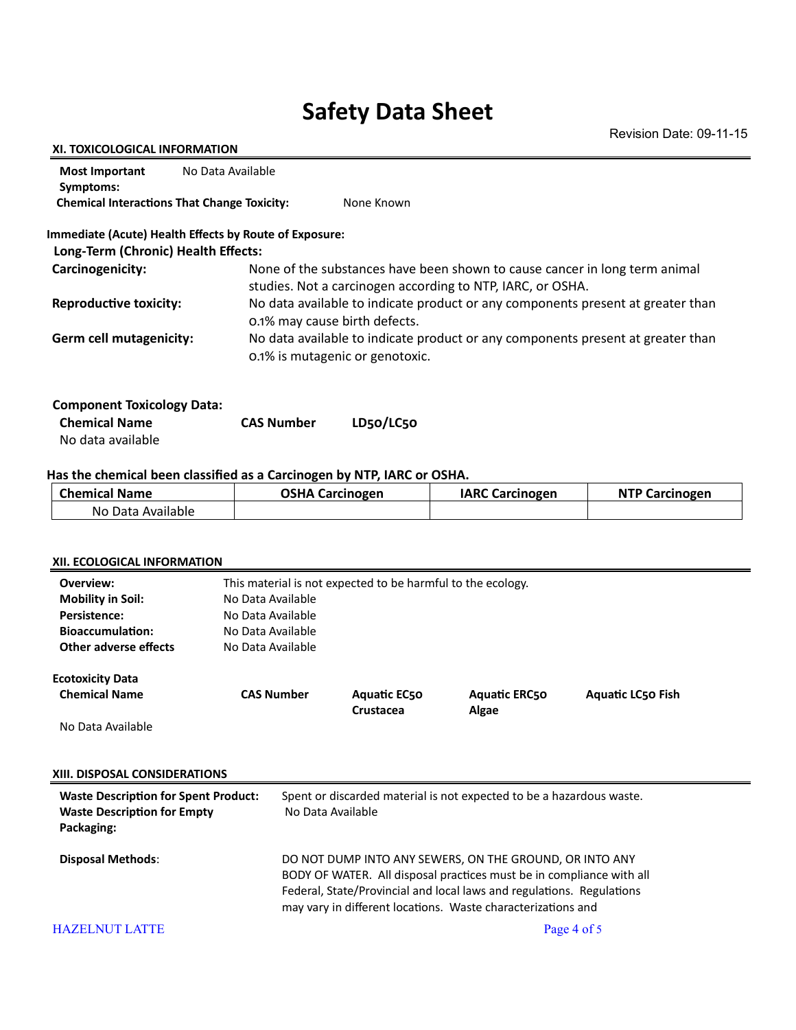#### **XI. TOXICOLOGICAL INFORMATION**

| <b>Most Important</b><br>Symptoms:                 | No Data Available                                                                                                                        |  |  |
|----------------------------------------------------|------------------------------------------------------------------------------------------------------------------------------------------|--|--|
| <b>Chemical Interactions That Change Toxicity:</b> | None Known                                                                                                                               |  |  |
|                                                    | Immediate (Acute) Health Effects by Route of Exposure:                                                                                   |  |  |
| Long-Term (Chronic) Health Effects:                |                                                                                                                                          |  |  |
| Carcinogenicity:                                   | None of the substances have been shown to cause cancer in long term animal<br>studies. Not a carcinogen according to NTP, IARC, or OSHA. |  |  |
| <b>Reproductive toxicity:</b>                      | No data available to indicate product or any components present at greater than<br>0.1% may cause birth defects.                         |  |  |
| Germ cell mutagenicity:                            | No data available to indicate product or any components present at greater than<br>0.1% is mutagenic or genotoxic.                       |  |  |
| <b>Component Toxicology Data:</b>                  |                                                                                                                                          |  |  |

|  | Has the chemical been classified as a Carcinogen by NTP, IARC or OSHA. |  |
|--|------------------------------------------------------------------------|--|

**Chemical Name CAS Number LD50/LC50**

| <b>Chemical Name</b> | <b>OSHA Carcinogen</b> | <b>IARC Carcinogen</b> | <b>NTP Carcinogen</b> |
|----------------------|------------------------|------------------------|-----------------------|
| No Data Available    |                        |                        |                       |

#### **XII. ECOLOGICAL INFORMATION**

No data available

| Overview:<br><b>Mobility in Soil:</b><br>Persistence:<br><b>Bioaccumulation:</b><br>Other adverse effects                                            | No Data Available<br>No Data Available<br>No Data Available<br>No Data Available |                                                                                                                                                                                                                                                                          | This material is not expected to be harmful to the ecology. |                               |                          |
|------------------------------------------------------------------------------------------------------------------------------------------------------|----------------------------------------------------------------------------------|--------------------------------------------------------------------------------------------------------------------------------------------------------------------------------------------------------------------------------------------------------------------------|-------------------------------------------------------------|-------------------------------|--------------------------|
| <b>Ecotoxicity Data</b><br><b>Chemical Name</b><br>No Data Available                                                                                 | <b>CAS Number</b>                                                                |                                                                                                                                                                                                                                                                          | <b>Aquatic EC50</b><br>Crustacea                            | <b>Aquatic ERC50</b><br>Algae | <b>Aquatic LC50 Fish</b> |
| XIII. DISPOSAL CONSIDERATIONS<br>Spent or discarded material is not expected to be a hazardous waste.<br><b>Waste Description for Spent Product:</b> |                                                                                  |                                                                                                                                                                                                                                                                          |                                                             |                               |                          |
| <b>Waste Description for Empty</b><br>Packaging:                                                                                                     |                                                                                  | No Data Available                                                                                                                                                                                                                                                        |                                                             |                               |                          |
| <b>Disposal Methods:</b>                                                                                                                             |                                                                                  | DO NOT DUMP INTO ANY SEWERS, ON THE GROUND, OR INTO ANY<br>BODY OF WATER. All disposal practices must be in compliance with all<br>Federal, State/Provincial and local laws and regulations. Regulations<br>may vary in different locations. Waste characterizations and |                                                             |                               |                          |
| <b>HAZELNUT LATTE</b>                                                                                                                                |                                                                                  |                                                                                                                                                                                                                                                                          |                                                             |                               | Page 4 of 5              |